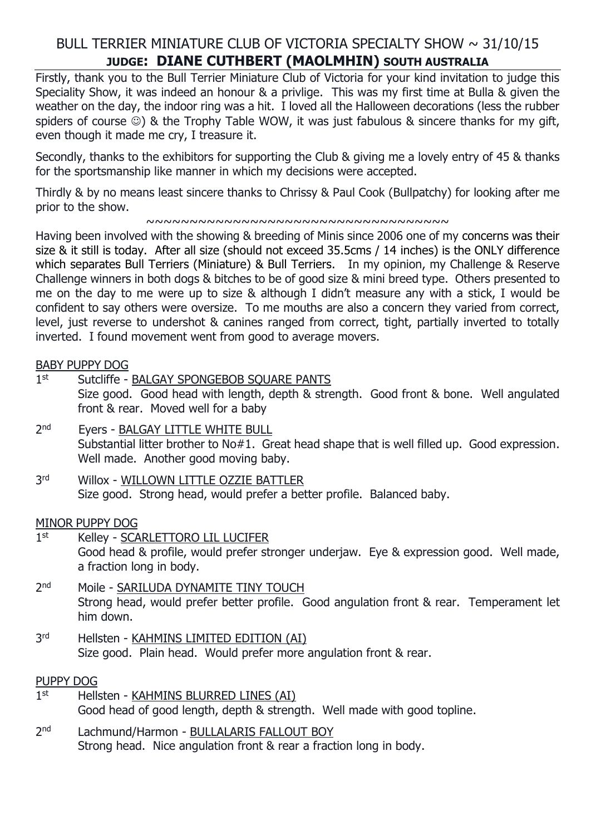# BULL TERRIER MINIATURE CLUB OF VICTORIA SPECIALTY SHOW  $\sim$  31/10/15 **JUDGE: DIANE CUTHBERT (MAOLMHIN) SOUTH AUSTRALIA**

Firstly, thank you to the Bull Terrier Miniature Club of Victoria for your kind invitation to judge this Speciality Show, it was indeed an honour & a privlige. This was my first time at Bulla & given the weather on the day, the indoor ring was a hit. I loved all the Halloween decorations (less the rubber spiders of course  $\circledcirc$ ) & the Trophy Table WOW, it was just fabulous & sincere thanks for my gift, even though it made me cry, I treasure it.

Secondly, thanks to the exhibitors for supporting the Club & giving me a lovely entry of 45 & thanks for the sportsmanship like manner in which my decisions were accepted.

Thirdly & by no means least sincere thanks to Chrissy & Paul Cook (Bullpatchy) for looking after me prior to the show.

#### ~~~~~~~~~~~~~~~~~~~~~~~~~~~~~~~~~~~

Having been involved with the showing & breeding of Minis since 2006 one of my concerns was their size & it still is today. After all size (should not exceed 35.5cms / 14 inches) is the ONLY difference which separates Bull Terriers (Miniature) & Bull Terriers. In my opinion, my Challenge & Reserve Challenge winners in both dogs & bitches to be of good size & mini breed type. Others presented to me on the day to me were up to size & although I didn't measure any with a stick, I would be confident to say others were oversize. To me mouths are also a concern they varied from correct, level, just reverse to undershot & canines ranged from correct, tight, partially inverted to totally inverted. I found movement went from good to average movers.

#### BABY PUPPY DOG

- $1<sup>st</sup>$ Sutcliffe - BALGAY SPONGEBOB SOUARE PANTS Size good. Good head with length, depth & strength. Good front & bone. Well angulated front & rear. Moved well for a baby
- $2<sub>nd</sub>$ Eyers - BALGAY LITTLE WHITE BULL Substantial litter brother to No#1. Great head shape that is well filled up. Good expression. Well made. Another good moving baby.
- **3rd** Willox - WILLOWN LITTLE OZZIE BATTLER Size good. Strong head, would prefer a better profile. Balanced baby.

#### MINOR PUPPY DOG

- $1<sup>st</sup>$ Kelley - SCARLETTORO LIL LUCIFER Good head & profile, would prefer stronger underjaw. Eye & expression good. Well made, a fraction long in body.
- 2<sup>nd</sup> Moile - SARILUDA DYNAMITE TINY TOUCH Strong head, would prefer better profile. Good angulation front & rear. Temperament let him down.
- **3rd** Hellsten - KAHMINS LIMITED EDITION (AI) Size good. Plain head. Would prefer more angulation front & rear.

## PUPPY DOG

- $1<sup>st</sup>$ Hellsten - KAHMINS BLURRED LINES (AI) Good head of good length, depth & strength. Well made with good topline.
- $2<sub>nd</sub>$ Lachmund/Harmon - BULLALARIS FALLOUT BOY Strong head. Nice angulation front & rear a fraction long in body.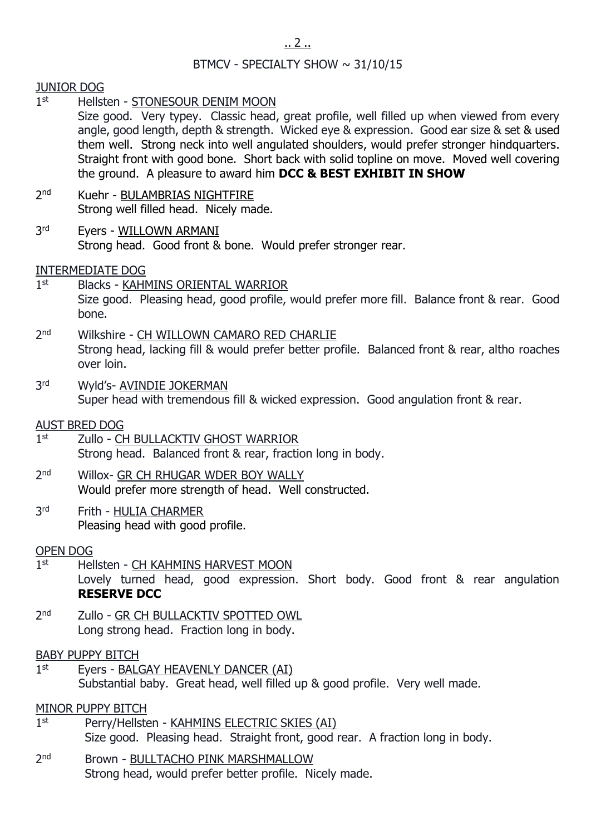## BTMCV - SPECIALTY SHOW  $\sim$  31/10/15

## JUNIOR DOG

 $1<sup>st</sup>$ Hellsten - STONESOUR DENIM MOON

Size good. Very typey. Classic head, great profile, well filled up when viewed from every angle, good length, depth & strength. Wicked eye & expression. Good ear size & set & used them well. Strong neck into well angulated shoulders, would prefer stronger hindquarters. Straight front with good bone. Short back with solid topline on move. Moved well covering the ground. A pleasure to award him **DCC & BEST EXHIBIT IN SHOW**

- $2<sub>nd</sub>$ Kuehr - BULAMBRIAS NIGHTFIRE Strong well filled head. Nicely made.
- **3rd** Eyers - WILLOWN ARMANI Strong head. Good front & bone. Would prefer stronger rear.

## INTERMEDIATE DOG

- $1<sup>st</sup>$ Blacks - KAHMINS ORIENTAL WARRIOR Size good. Pleasing head, good profile, would prefer more fill. Balance front & rear. Good bone.
- $2<sub>nd</sub>$ Wilkshire - CH WILLOWN CAMARO RED CHARLIE Strong head, lacking fill & would prefer better profile. Balanced front & rear, altho roaches over loin.
- 3rd Wyld's- AVINDIE JOKERMAN Super head with tremendous fill & wicked expression. Good angulation front & rear.

## AUST BRED DOG

- $1<sup>st</sup>$ Zullo - CH BULLACKTIV GHOST WARRIOR Strong head. Balanced front & rear, fraction long in body.
- $2<sub>nd</sub>$ Willox- GR CH RHUGAR WDER BOY WALLY Would prefer more strength of head. Well constructed.
- **3rd** Frith - HULIA CHARMER Pleasing head with good profile.

## OPEN DOG

- $1<sup>st</sup>$ Hellsten - CH KAHMINS HARVEST MOON Lovely turned head, good expression. Short body. Good front & rear angulation **RESERVE DCC**
- $2<sub>nd</sub>$ Zullo - GR CH BULLACKTIV SPOTTED OWL Long strong head. Fraction long in body.

## BABY PUPPY BITCH

 $1<sup>st</sup>$ Eyers - BALGAY HEAVENLY DANCER (AI) Substantial baby. Great head, well filled up & good profile. Very well made.

## MINOR PUPPY BITCH

- $1<sup>st</sup>$ Perry/Hellsten - KAHMINS ELECTRIC SKIES (AI) Size good. Pleasing head. Straight front, good rear. A fraction long in body.
- $2<sub>nd</sub>$ Brown - BULLTACHO PINK MARSHMALLOW Strong head, would prefer better profile. Nicely made.